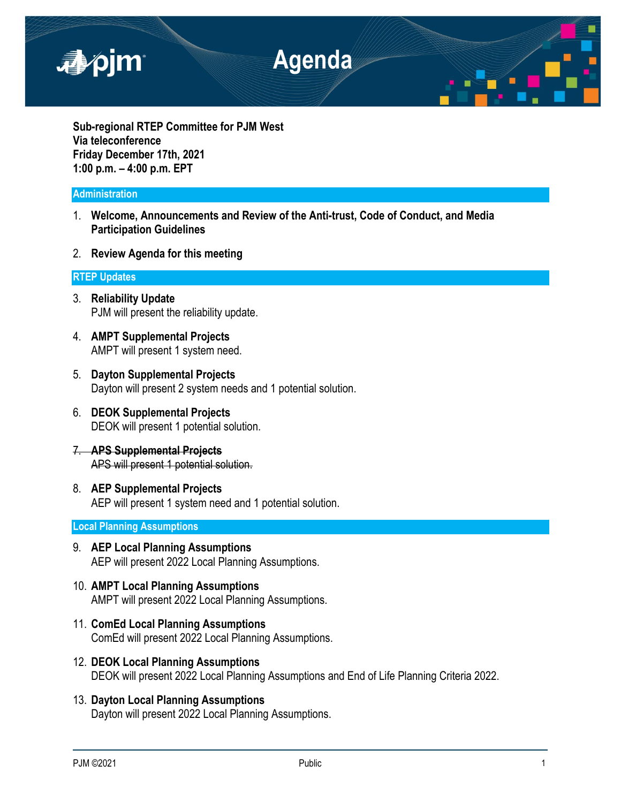

**Sub-regional RTEP Committee for PJM West Via teleconference Friday December 17th, 2021 1:00 p.m. – 4:00 p.m. EPT**

### **Administration**

- 1. **Welcome, Announcements and Review of the Anti-trust, Code of Conduct, and Media Participation Guidelines**
- 2. **Review Agenda for this meeting**

## **RTEP Updates**

- 3. **Reliability Update** PJM will present the reliability update.
- 4. **AMPT Supplemental Projects** AMPT will present 1 system need.
- 5. **Dayton Supplemental Projects** Dayton will present 2 system needs and 1 potential solution.
- 6. **DEOK Supplemental Projects** DEOK will present 1 potential solution.
- 7. **APS Supplemental Projects** APS will present 1 potential solution.
- 8. **AEP Supplemental Projects** AEP will present 1 system need and 1 potential solution.

# **Local Planning Assumptions**

- 9. **AEP Local Planning Assumptions** AEP will present 2022 Local Planning Assumptions.
- 10. **AMPT Local Planning Assumptions** AMPT will present 2022 Local Planning Assumptions.
- 11. **ComEd Local Planning Assumptions** ComEd will present 2022 Local Planning Assumptions.
- 12. **DEOK Local Planning Assumptions** DEOK will present 2022 Local Planning Assumptions and End of Life Planning Criteria 2022.
- 13. **Dayton Local Planning Assumptions** Dayton will present 2022 Local Planning Assumptions.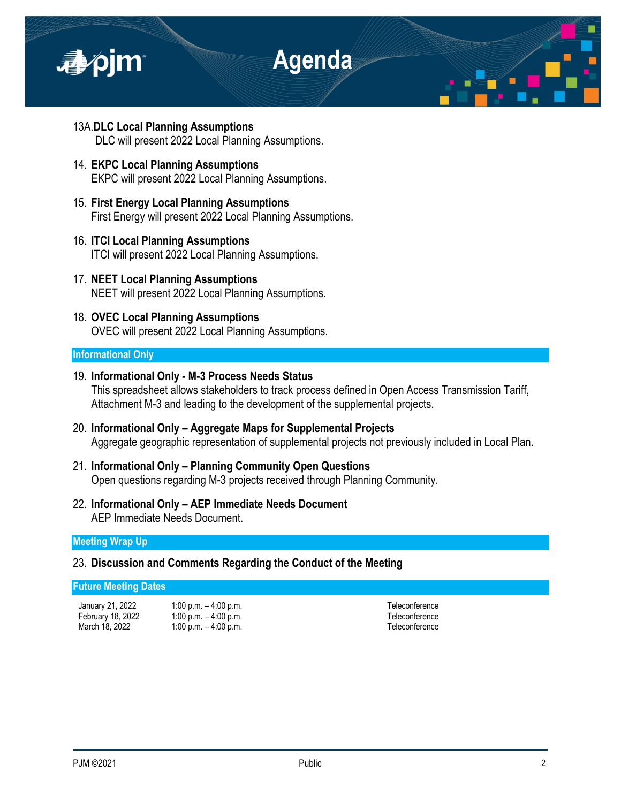

- 13A.**DLC Local Planning Assumptions** DLC will present 2022 Local Planning Assumptions.
- 14. **EKPC Local Planning Assumptions** EKPC will present 2022 Local Planning Assumptions.
- 15. **First Energy Local Planning Assumptions** First Energy will present 2022 Local Planning Assumptions.
- 16. **ITCI Local Planning Assumptions** ITCI will present 2022 Local Planning Assumptions.
- 17. **NEET Local Planning Assumptions** NEET will present 2022 Local Planning Assumptions.
- 18. **OVEC Local Planning Assumptions** OVEC will present 2022 Local Planning Assumptions.

# **Informational Only**

- 19. **Informational Only - M-3 Process Needs Status** This spreadsheet allows stakeholders to track process defined in Open Access Transmission Tariff, Attachment M-3 and leading to the development of the supplemental projects.
- 20. **Informational Only – Aggregate Maps for Supplemental Projects** Aggregate geographic representation of supplemental projects not previously included in Local Plan.
- 21. **Informational Only – Planning Community Open Questions** Open questions regarding M-3 projects received through Planning Community.
- 22. **Informational Only – AEP Immediate Needs Document** AEP Immediate Needs Document.

### **Meeting Wrap Up**

# 23. **Discussion and Comments Regarding the Conduct of the Meeting**

## **Future Meeting Dates**

January 21, 2022 1:00 p.m. – 4:00 p.m. Teleconference

February 18, 2022 1:00 p.m. - 4:00 p.m. March 18, 2022 1:00 p.m. – 4:00 p.m. Teleconference